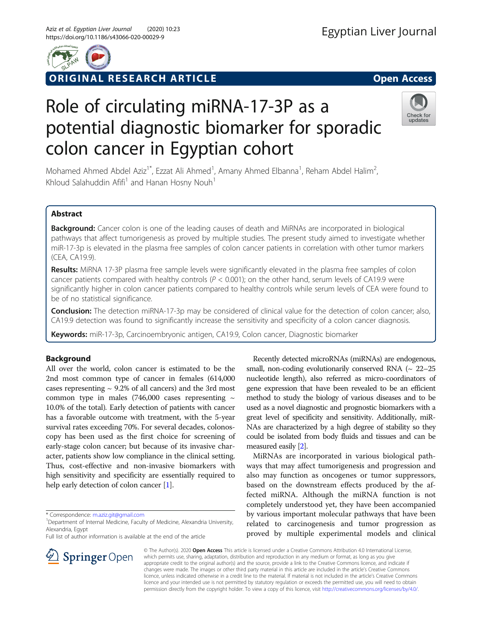

ORIGINAL RESEARCH ARTICLE **External of the Contract Open Access** 

# Role of circulating miRNA-17-3P as a potential diagnostic biomarker for sporadic colon cancer in Egyptian cohort



Mohamed Ahmed Abdel Aziz<sup>1\*</sup>, Ezzat Ali Ahmed<sup>1</sup>, Amany Ahmed Elbanna<sup>1</sup>, Reham Abdel Halim<sup>2</sup> , Khloud Salahuddin Afifi<sup>1</sup> and Hanan Hosny Nouh<sup>1</sup>

## Abstract

**Background:** Cancer colon is one of the leading causes of death and MiRNAs are incorporated in biological pathways that affect tumorigenesis as proved by multiple studies. The present study aimed to investigate whether miR-17-3p is elevated in the plasma free samples of colon cancer patients in correlation with other tumor markers (CEA, CA19.9).

Results: MiRNA 17-3P plasma free sample levels were significantly elevated in the plasma free samples of colon cancer patients compared with healthy controls ( $P < 0.001$ ); on the other hand, serum levels of CA19.9 were significantly higher in colon cancer patients compared to healthy controls while serum levels of CEA were found to be of no statistical significance.

Conclusion: The detection miRNA-17-3p may be considered of clinical value for the detection of colon cancer; also, CA19.9 detection was found to significantly increase the sensitivity and specificity of a colon cancer diagnosis.

Keywords: miR-17-3p, Carcinoembryonic antigen, CA19.9, Colon cancer, Diagnostic biomarker

# Background

All over the world, colon cancer is estimated to be the 2nd most common type of cancer in females (614,000 cases representing  $\sim$  9.2% of all cancers) and the 3rd most common type in males (746,000 cases representing  $\sim$ 10.0% of the total). Early detection of patients with cancer has a favorable outcome with treatment, with the 5-year survival rates exceeding 70%. For several decades, colonoscopy has been used as the first choice for screening of early-stage colon cancer; but because of its invasive character, patients show low compliance in the clinical setting. Thus, cost-effective and non-invasive biomarkers with high sensitivity and specificity are essentially required to help early detection of colon cancer [[1\]](#page-5-0).

\* Correspondence: [m.aziz.git@gmail.com](mailto:m.aziz.git@gmail.com) <sup>1</sup>

SpringerOpen

Full list of author information is available at the end of the article

Recently detected microRNAs (miRNAs) are endogenous, small, non-coding evolutionarily conserved RNA  $(\sim 22-25$ nucleotide length), also referred as micro-coordinators of gene expression that have been revealed to be an efficient method to study the biology of various diseases and to be used as a novel diagnostic and prognostic biomarkers with a great level of specificity and sensitivity. Additionally, miR-NAs are characterized by a high degree of stability so they could be isolated from body fluids and tissues and can be measured easily [\[2\]](#page-5-0).

MiRNAs are incorporated in various biological pathways that may affect tumorigenesis and progression and also may function as oncogenes or tumor suppressors, based on the downstream effects produced by the affected miRNA. Although the miRNA function is not completely understood yet, they have been accompanied by various important molecular pathways that have been related to carcinogenesis and tumor progression as proved by multiple experimental models and clinical

© The Author(s). 2020 Open Access This article is licensed under a Creative Commons Attribution 4.0 International License, which permits use, sharing, adaptation, distribution and reproduction in any medium or format, as long as you give appropriate credit to the original author(s) and the source, provide a link to the Creative Commons licence, and indicate if changes were made. The images or other third party material in this article are included in the article's Creative Commons licence, unless indicated otherwise in a credit line to the material. If material is not included in the article's Creative Commons licence and your intended use is not permitted by statutory regulation or exceeds the permitted use, you will need to obtain permission directly from the copyright holder. To view a copy of this licence, visit <http://creativecommons.org/licenses/by/4.0/>.

<sup>&</sup>lt;sup>1</sup> Department of Internal Medicine, Faculty of Medicine, Alexandria University, Alexandria, Egypt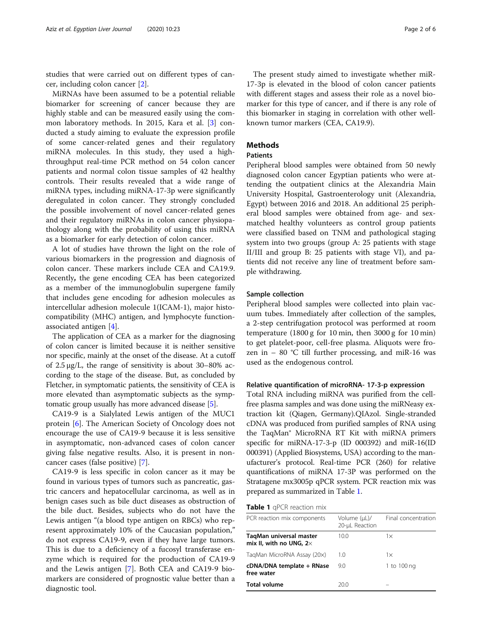studies that were carried out on different types of cancer, including colon cancer [[2\]](#page-5-0).

MiRNAs have been assumed to be a potential reliable biomarker for screening of cancer because they are highly stable and can be measured easily using the common laboratory methods. In 2015, Kara et al. [\[3](#page-5-0)] conducted a study aiming to evaluate the expression profile of some cancer-related genes and their regulatory miRNA molecules. In this study, they used a highthroughput real-time PCR method on 54 colon cancer patients and normal colon tissue samples of 42 healthy controls. Their results revealed that a wide range of miRNA types, including miRNA-17-3p were significantly deregulated in colon cancer. They strongly concluded the possible involvement of novel cancer-related genes and their regulatory miRNAs in colon cancer physiopathology along with the probability of using this miRNA as a biomarker for early detection of colon cancer.

A lot of studies have thrown the light on the role of various biomarkers in the progression and diagnosis of colon cancer. These markers include CEA and CA19.9. Recently, the gene encoding CEA has been categorized as a member of the immunoglobulin supergene family that includes gene encoding for adhesion molecules as intercellular adhesion molecule 1(ICAM-1), major histocompatibility (MHC) antigen, and lymphocyte functionassociated antigen [\[4\]](#page-5-0).

The application of CEA as a marker for the diagnosing of colon cancer is limited because it is neither sensitive nor specific, mainly at the onset of the disease. At a cutoff of 2.5 μg/L, the range of sensitivity is about 30–80% according to the stage of the disease. But, as concluded by Fletcher, in symptomatic patients, the sensitivity of CEA is more elevated than asymptomatic subjects as the symptomatic group usually has more advanced disease [\[5](#page-5-0)].

CA19-9 is a Sialylated Lewis antigen of the MUC1 protein [[6\]](#page-5-0). The American Society of Oncology does not encourage the use of CA19-9 because it is less sensitive in asymptomatic, non-advanced cases of colon cancer giving false negative results. Also, it is present in noncancer cases (false positive) [[7\]](#page-5-0).

CA19-9 is less specific in colon cancer as it may be found in various types of tumors such as pancreatic, gastric cancers and hepatocellular carcinoma, as well as in benign cases such as bile duct diseases as obstruction of the bile duct. Besides, subjects who do not have the Lewis antigen "(a blood type antigen on RBCs) who represent approximately 10% of the Caucasian population," do not express CA19-9, even if they have large tumors. This is due to a deficiency of a fucosyl transferase enzyme which is required for the production of CA19-9 and the Lewis antigen [[7\]](#page-5-0). Both CEA and CA19-9 biomarkers are considered of prognostic value better than a diagnostic tool.

The present study aimed to investigate whether miR-17-3p is elevated in the blood of colon cancer patients with different stages and assess their role as a novel biomarker for this type of cancer, and if there is any role of this biomarker in staging in correlation with other wellknown tumor markers (CEA, CA19.9).

## **Methods**

## Patients

Peripheral blood samples were obtained from 50 newly diagnosed colon cancer Egyptian patients who were attending the outpatient clinics at the Alexandria Main University Hospital, Gastroenterology unit (Alexandria, Egypt) between 2016 and 2018. An additional 25 peripheral blood samples were obtained from age- and sexmatched healthy volunteers as control group patients were classified based on TNM and pathological staging system into two groups (group A: 25 patients with stage II/III and group B: 25 patients with stage VI), and patients did not receive any line of treatment before sample withdrawing.

## Sample collection

Peripheral blood samples were collected into plain vacuum tubes. Immediately after collection of the samples, a 2-step centrifugation protocol was performed at room temperature (1800 g for 10 min, then 3000 g for 10 min) to get platelet-poor, cell-free plasma. Aliquots were frozen in  $-$  80 °C till further processing, and miR-16 was used as the endogenous control.

#### Relative quantification of microRNA- 17-3-p expression

Total RNA including miRNA was purified from the cellfree plasma samples and was done using the miRNeasy extraction kit (Qiagen, Germany).QIAzol. Single-stranded cDNA was produced from purified samples of RNA using the TaqMan® MicroRNA RT Kit with miRNA primers specific for miRNA-17-3-p (ID 000392) and miR-16(ID 000391) (Applied Biosystems, USA) according to the manufacturer's protocol. Real-time PCR (260) for relative quantifications of miRNA 17-3P was performed on the Stratagene mx3005p qPCR system. PCR reaction mix was prepared as summarized in Table 1.

|  |  | Table 1 qPCR reaction mix |  |
|--|--|---------------------------|--|
|--|--|---------------------------|--|

| PCR reaction mix components                               | Volume (µL)/<br>20-µL Reaction | Final concentration |
|-----------------------------------------------------------|--------------------------------|---------------------|
| TagMan universal master<br>mix II, with no UNG, $2\times$ | 10.0                           | $1\times$           |
| TagMan MicroRNA Assay (20x)                               | 1.0                            | $1\times$           |
| cDNA/DNA template + RNase<br>free water                   | 9.0                            | 1 to 100 ng         |
| <b>Total volume</b>                                       | 20.0                           |                     |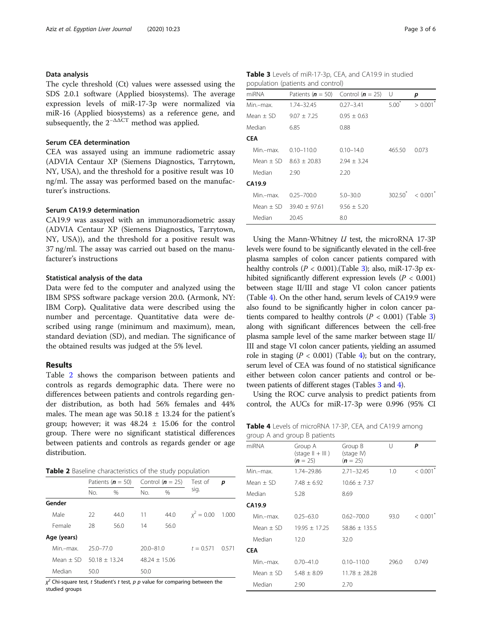## Data analysis

The cycle threshold (Ct) values were assessed using the SDS 2.0.1 software (Applied biosystems). The average expression levels of miR-17-3p were normalized via miR-16 (Applied biosystems) as a reference gene, and subsequently, the  $2^{-\Delta\Delta CT}$  method was applied.

## Serum CEA determination

CEA was assayed using an immune radiometric assay (ADVIA Centaur XP (Siemens Diagnostics, Tarrytown, NY, USA), and the threshold for a positive result was 10 ng/ml. The assay was performed based on the manufacturer's instructions.

## Serum CA19.9 determination

CA19.9 was assayed with an immunoradiometric assay (ADVIA Centaur XP (Siemens Diagnostics, Tarrytown, NY, USA)), and the threshold for a positive result was 37 ng/ml. The assay was carried out based on the manufacturer's instructions

## Statistical analysis of the data

Data were fed to the computer and analyzed using the IBM SPSS software package version 20.0. (Armonk, NY: IBM Corp). Qualitative data were described using the number and percentage. Quantitative data were described using range (minimum and maximum), mean, standard deviation (SD), and median. The significance of the obtained results was judged at the 5% level.

## Results

Table 2 shows the comparison between patients and controls as regards demographic data. There were no differences between patients and controls regarding gender distribution, as both had 56% females and 44% males. The mean age was  $50.18 \pm 13.24$  for the patient's group; however; it was  $48.24 \pm 15.06$  for the control group. There were no significant statistical differences between patients and controls as regards gender or age distribution.

Table 2 Baseline characteristics of the study population

|             | Patients ( $n = 50$ ) |                 |                 | Control ( $n = 25$ ) | Test of               | p    |  |
|-------------|-----------------------|-----------------|-----------------|----------------------|-----------------------|------|--|
|             | No.                   | $\%$            | No.             | $\%$                 | sig.                  |      |  |
| Gender      |                       |                 |                 |                      |                       |      |  |
| Male        | 22                    | 44.0            | 11              | 44.0                 | $\chi^2 = 0.00$ 1.000 |      |  |
| Female      | 28                    | 56.0            | 14              | 56.0                 |                       |      |  |
| Age (years) |                       |                 |                 |                      |                       |      |  |
| Min –max    | $25.0 - 77.0$         |                 | $20.0 - 81.0$   |                      | $t = 0.571$           | 0571 |  |
| Mean + SD . |                       | $50.18 + 13.24$ | $48.24 + 15.06$ |                      |                       |      |  |
| Median      | 50.0                  |                 | 50.0            |                      |                       |      |  |

χ<sup>2</sup> Chi-square test, *t* Student's *t* test, *p p* value for comparing between the<br>studied arouns studied groups

| Table 3 Levels of miR-17-3p, CEA, and CA19.9 in studied |  |
|---------------------------------------------------------|--|
| population (patients and control)                       |  |

| miRNA         |                 | Patients ( $n = 50$ ) Control ( $n = 25$ ) | - U     | р                                |
|---------------|-----------------|--------------------------------------------|---------|----------------------------------|
| Min.-max.     | 1.74-32.45      | $0.27 - 3.41$                              | $5.00*$ | > 0.001                          |
| Mean $\pm$ SD | $9.07 \pm 7.25$ | $0.95 \pm 0.63$                            |         |                                  |
| Median        | 6.85            | 0.88                                       |         |                                  |
| <b>CEA</b>    |                 |                                            |         |                                  |
| Min.-max.     | $0.10 - 110.0$  | $0.10 - 14.0$                              | 465.50  | 0.073                            |
| Mean $+$ SD   | $8.63 + 20.83$  | $2.94 + 3.24$                              |         |                                  |
| Median        | 2.90            | 2.20                                       |         |                                  |
| CA19.9        |                 |                                            |         |                                  |
| Min.-max.     | $0.25 - 700.0$  | $5.0 - 30.0$                               |         | $302.50^{\circ} < 0.001^{\circ}$ |
| Mean + SD     | $39.40 + 97.61$ | $9.56 \pm 5.20$                            |         |                                  |
| Median        | 20.45           | 8.0                                        |         |                                  |

Using the Mann-Whitney  $U$  test, the microRNA 17-3P levels were found to be significantly elevated in the cell-free plasma samples of colon cancer patients compared with healthy controls  $(P < 0.001)$ . (Table 3); also, miR-17-3p exhibited significantly different expression levels ( $P < 0.001$ ) between stage II/III and stage VI colon cancer patients (Table 4). On the other hand, serum levels of CA19.9 were also found to be significantly higher in colon cancer patients compared to healthy controls  $(P < 0.001)$  (Table 3) along with significant differences between the cell-free plasma sample level of the same marker between stage II/ III and stage VI colon cancer patients, yielding an assumed role in staging ( $P < 0.001$ ) (Table 4); but on the contrary, serum level of CEA was found of no statistical significance either between colon cancer patients and control or between patients of different stages (Tables 3 and 4).

Using the ROC curve analysis to predict patients from control, the AUCs for miR-17-3p were 0.996 (95% CI

|                              |  |  |  |  | Table 4 Levels of microRNA 17-3P, CEA, and CA19.9 among |  |
|------------------------------|--|--|--|--|---------------------------------------------------------|--|
| group A and group B patients |  |  |  |  |                                                         |  |

| miRNA         | Group A<br>$(\text{stage }    +      )$<br>$(n = 25)$ | Group B<br>(stage IV)<br>$(n = 25)$ | U     | P                      |
|---------------|-------------------------------------------------------|-------------------------------------|-------|------------------------|
| Min.-max.     | 1.74-29.86                                            | $2.71 - 32.45$                      | 1.0   | $< 0.001$ <sup>*</sup> |
| Mean $\pm$ SD | $7.48 \pm 6.92$                                       | $10.66 \pm 7.37$                    |       |                        |
| Median        | 5.28                                                  | 8.69                                |       |                        |
| CA19.9        |                                                       |                                     |       |                        |
| Min.-max.     | $0.25 - 63.0$                                         | $0.62 - 700.0$                      | 93.0  | $< 0.001$ <sup>*</sup> |
| Mean $+$ SD   | $19.95 \pm 17.25$                                     | $58.86 \pm 135.5$                   |       |                        |
| Median        | 12.0                                                  | 32.0                                |       |                        |
| <b>CEA</b>    |                                                       |                                     |       |                        |
| Min.-max.     | $0.70 - 41.0$                                         | $0.10 - 110.0$                      | 296.0 | 0.749                  |
| $Mean + SD$   | $5.48 \pm 8.09$                                       | $11.78 \pm 28.28$                   |       |                        |
| Median        | 2.90                                                  | 2.70                                |       |                        |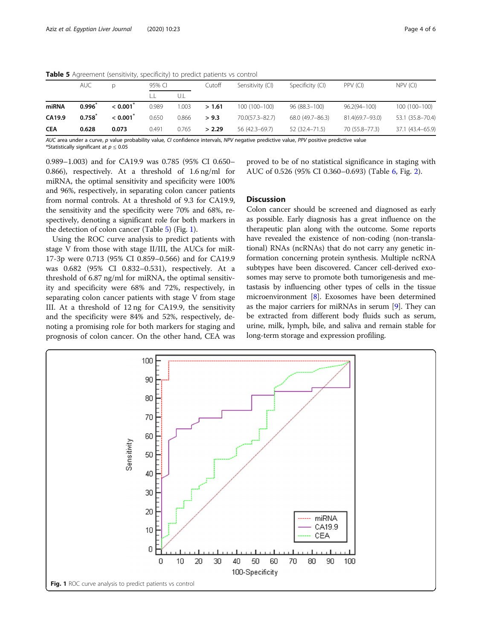|            | <b>AUC</b>  | D       | 95% CI |       | Cutoff | Sensitivity (CI) | Specificity (CI) | PPV (CI)         | $NPV$ (CI)       |
|------------|-------------|---------|--------|-------|--------|------------------|------------------|------------------|------------------|
|            |             |         |        | U.L   |        |                  |                  |                  |                  |
| miRNA      | 0.996       | < 0.001 | 0.989  | 1.003 | >1.61  | 100 (100-100)    | 96 (88.3-100)    | $96.2(94 - 100)$ | 100 (100-100)    |
| CA19.9     | $0.758^{*}$ | < 0.001 | 0.650  | 0.866 | > 9.3  | 70.0(57.3-82.7)  | 68.0 (49.7-86.3) | 81.4(69.7-93.0)  | 53.1 (35.8-70.4) |
| <b>CEA</b> | 0.628       | 0.073   | 0.491  | 0.765 | > 2.29 | 56 (42.3-69.7)   | 52 (32.4 - 71.5) | 70 (55.8-77.3)   | 37.1 (43.4-65.9) |

Table 5 Agreement (sensitivity, specificity) to predict patients vs control

AUC area under a curve, p value probability value, CI confidence intervals, NPV negative predictive value, PPV positive predictive value \*Statistically significant at  $p \leq 0.05$ 

0.989–1.003) and for CA19.9 was 0.785 (95% CI 0.650– 0.866), respectively. At a threshold of 1.6 ng/ml for miRNA, the optimal sensitivity and specificity were 100% and 96%, respectively, in separating colon cancer patients from normal controls. At a threshold of 9.3 for CA19.9, the sensitivity and the specificity were 70% and 68%, respectively, denoting a significant role for both markers in the detection of colon cancer (Table 5) (Fig. 1).

Using the ROC curve analysis to predict patients with stage V from those with stage II/III, the AUCs for miR-17-3p were 0.713 (95% CI 0.859–0.566) and for CA19.9 was 0.682 (95% CI 0.832–0.531), respectively. At a threshold of 6.87 ng/ml for miRNA, the optimal sensitivity and specificity were 68% and 72%, respectively, in separating colon cancer patients with stage V from stage III. At a threshold of 12 ng for CA19.9, the sensitivity and the specificity were 84% and 52%, respectively, denoting a promising role for both markers for staging and prognosis of colon cancer. On the other hand, CEA was

proved to be of no statistical significance in staging with AUC of 0.526 (95% CI 0.360–0.693) (Table [6](#page-4-0), Fig. [2\)](#page-4-0).

## **Discussion**

Colon cancer should be screened and diagnosed as early as possible. Early diagnosis has a great influence on the therapeutic plan along with the outcome. Some reports have revealed the existence of non-coding (non-translational) RNAs (ncRNAs) that do not carry any genetic information concerning protein synthesis. Multiple ncRNA subtypes have been discovered. Cancer cell-derived exosomes may serve to promote both tumorigenesis and metastasis by influencing other types of cells in the tissue microenvironment [\[8\]](#page-5-0). Exosomes have been determined as the major carriers for miRNAs in serum [\[9](#page-5-0)]. They can be extracted from different body fluids such as serum, urine, milk, lymph, bile, and saliva and remain stable for long-term storage and expression profiling.

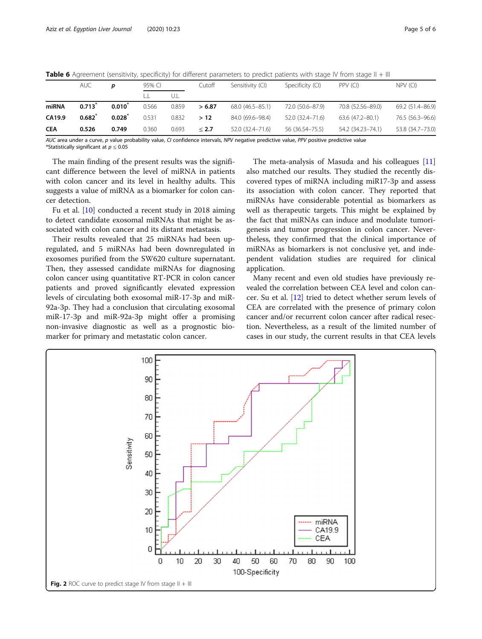|            | <b>AUC</b>        |             | 95% CI |       | Cutoff | Sensitivity (CI)    | Specificity (CI) | PPV (CI)            | $NPV$ (CI)       |
|------------|-------------------|-------------|--------|-------|--------|---------------------|------------------|---------------------|------------------|
|            |                   |             |        | UJ    |        |                     |                  |                     |                  |
| miRNA      | 0.713             | $0.010^*$   | 0.566  | 0.859 | > 6.87 | $68.0(46.5 - 85.1)$ | 72.0 (50.6-87.9) | 70.8 (52.56-89.0)   | 69.2 (51.4-86.9) |
| CA19.9     | $0.682^{\degree}$ | $0.028^{*}$ | 0.531  | 0.832 | >12    | 84.0 (69.6-98.4)    | 52.0 (32.4–71.6) | $63.6(47.2 - 80.1)$ | 76.5 (56.3-96.6) |
| <b>CEA</b> | 0.526             | 0.749       | 0.360  | 0.693 | < 2.7  | 52.0 (32.4 - 71.6)  | 56 (36.54–75.5)  | 54.2 (34.23-74.1)   | 53.8 (34.7-73.0) |

<span id="page-4-0"></span>Table 6 Agreement (sensitivity, specificity) for different parameters to predict patients with stage IV from stage II + III

AUC area under a curve, p value probability value, CI confidence intervals, NPV negative predictive value, PPV positive predictive value \*Statistically significant at  $p \leq 0.05$ 

The main finding of the present results was the significant difference between the level of miRNA in patients with colon cancer and its level in healthy adults. This suggests a value of miRNA as a biomarker for colon cancer detection.

Fu et al. [[10\]](#page-5-0) conducted a recent study in 2018 aiming to detect candidate exosomal miRNAs that might be associated with colon cancer and its distant metastasis.

Their results revealed that 25 miRNAs had been upregulated, and 5 miRNAs had been downregulated in exosomes purified from the SW620 culture supernatant. Then, they assessed candidate miRNAs for diagnosing colon cancer using quantitative RT-PCR in colon cancer patients and proved significantly elevated expression levels of circulating both exosomal miR-17-3p and miR-92a-3p. They had a conclusion that circulating exosomal miR-17-3p and miR-92a-3p might offer a promising non-invasive diagnostic as well as a prognostic biomarker for primary and metastatic colon cancer.

The meta-analysis of Masuda and his colleagues [[11](#page-5-0)] also matched our results. They studied the recently discovered types of miRNA including miR17-3p and assess its association with colon cancer. They reported that miRNAs have considerable potential as biomarkers as well as therapeutic targets. This might be explained by the fact that miRNAs can induce and modulate tumorigenesis and tumor progression in colon cancer. Nevertheless, they confirmed that the clinical importance of miRNAs as biomarkers is not conclusive yet, and independent validation studies are required for clinical application.

Many recent and even old studies have previously revealed the correlation between CEA level and colon cancer. Su et al. [\[12](#page-5-0)] tried to detect whether serum levels of CEA are correlated with the presence of primary colon cancer and/or recurrent colon cancer after radical resection. Nevertheless, as a result of the limited number of cases in our study, the current results in that CEA levels